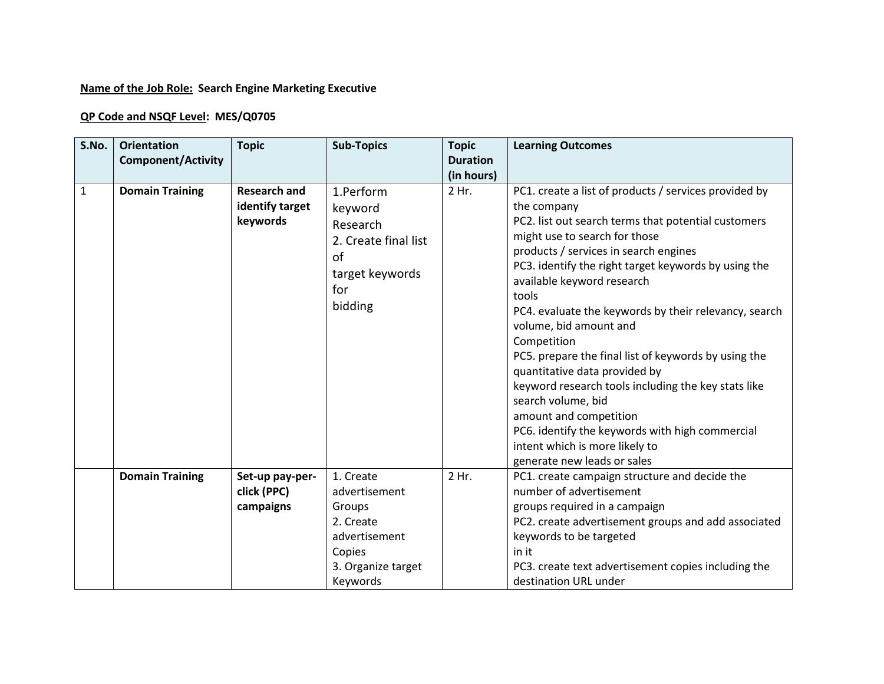## **Name of the Job Role: Search Engine Marketing Executive**

## **QP Code and NSQF Level: MES/Q0705**

| S.No.        | <b>Orientation</b><br><b>Component/Activity</b> | <b>Topic</b>                                       | <b>Sub-Topics</b>                                                                                   | <b>Topic</b><br><b>Duration</b> | <b>Learning Outcomes</b>                                                                                                                                                                                                                                                                                                                                                                                                                                                                                                                                                                                                                                                                                                   |
|--------------|-------------------------------------------------|----------------------------------------------------|-----------------------------------------------------------------------------------------------------|---------------------------------|----------------------------------------------------------------------------------------------------------------------------------------------------------------------------------------------------------------------------------------------------------------------------------------------------------------------------------------------------------------------------------------------------------------------------------------------------------------------------------------------------------------------------------------------------------------------------------------------------------------------------------------------------------------------------------------------------------------------------|
|              |                                                 |                                                    |                                                                                                     | (in hours)                      |                                                                                                                                                                                                                                                                                                                                                                                                                                                                                                                                                                                                                                                                                                                            |
| $\mathbf{1}$ | <b>Domain Training</b>                          | <b>Research and</b><br>identify target<br>keywords | 1.Perform<br>keyword<br>Research<br>2. Create final list<br>of<br>target keywords<br>for<br>bidding | 2 Hr.                           | PC1. create a list of products / services provided by<br>the company<br>PC2. list out search terms that potential customers<br>might use to search for those<br>products / services in search engines<br>PC3. identify the right target keywords by using the<br>available keyword research<br>tools<br>PC4. evaluate the keywords by their relevancy, search<br>volume, bid amount and<br>Competition<br>PC5. prepare the final list of keywords by using the<br>quantitative data provided by<br>keyword research tools including the key stats like<br>search volume, bid<br>amount and competition<br>PC6. identify the keywords with high commercial<br>intent which is more likely to<br>generate new leads or sales |
|              | <b>Domain Training</b>                          | Set-up pay-per-<br>click (PPC)                     | 1. Create<br>advertisement                                                                          | 2 Hr.                           | PC1. create campaign structure and decide the<br>number of advertisement                                                                                                                                                                                                                                                                                                                                                                                                                                                                                                                                                                                                                                                   |
|              |                                                 | campaigns                                          | Groups                                                                                              |                                 | groups required in a campaign                                                                                                                                                                                                                                                                                                                                                                                                                                                                                                                                                                                                                                                                                              |
|              |                                                 |                                                    | 2. Create                                                                                           |                                 | PC2. create advertisement groups and add associated                                                                                                                                                                                                                                                                                                                                                                                                                                                                                                                                                                                                                                                                        |
|              |                                                 |                                                    | advertisement                                                                                       |                                 | keywords to be targeted                                                                                                                                                                                                                                                                                                                                                                                                                                                                                                                                                                                                                                                                                                    |
|              |                                                 |                                                    | Copies                                                                                              |                                 | in it                                                                                                                                                                                                                                                                                                                                                                                                                                                                                                                                                                                                                                                                                                                      |
|              |                                                 |                                                    | 3. Organize target                                                                                  |                                 | PC3. create text advertisement copies including the                                                                                                                                                                                                                                                                                                                                                                                                                                                                                                                                                                                                                                                                        |
|              |                                                 |                                                    | Keywords                                                                                            |                                 | destination URL under                                                                                                                                                                                                                                                                                                                                                                                                                                                                                                                                                                                                                                                                                                      |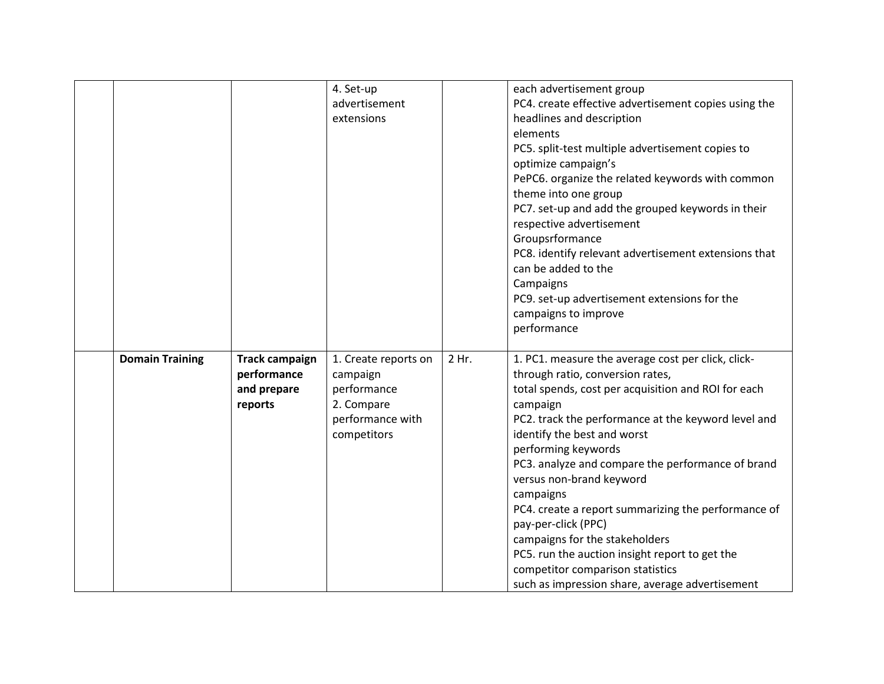|                        |                       | 4. Set-up            |       | each advertisement group                             |
|------------------------|-----------------------|----------------------|-------|------------------------------------------------------|
|                        |                       | advertisement        |       | PC4. create effective advertisement copies using the |
|                        |                       | extensions           |       | headlines and description                            |
|                        |                       |                      |       | elements                                             |
|                        |                       |                      |       | PC5. split-test multiple advertisement copies to     |
|                        |                       |                      |       | optimize campaign's                                  |
|                        |                       |                      |       | PePC6. organize the related keywords with common     |
|                        |                       |                      |       | theme into one group                                 |
|                        |                       |                      |       | PC7. set-up and add the grouped keywords in their    |
|                        |                       |                      |       | respective advertisement                             |
|                        |                       |                      |       | Groupsrformance                                      |
|                        |                       |                      |       | PC8. identify relevant advertisement extensions that |
|                        |                       |                      |       | can be added to the                                  |
|                        |                       |                      |       | Campaigns                                            |
|                        |                       |                      |       | PC9. set-up advertisement extensions for the         |
|                        |                       |                      |       | campaigns to improve                                 |
|                        |                       |                      |       | performance                                          |
|                        |                       |                      |       |                                                      |
| <b>Domain Training</b> | <b>Track campaign</b> | 1. Create reports on | 2 Hr. | 1. PC1. measure the average cost per click, click-   |
|                        | performance           | campaign             |       | through ratio, conversion rates,                     |
|                        | and prepare           | performance          |       | total spends, cost per acquisition and ROI for each  |
|                        | reports               | 2. Compare           |       | campaign                                             |
|                        |                       | performance with     |       | PC2. track the performance at the keyword level and  |
|                        |                       | competitors          |       | identify the best and worst                          |
|                        |                       |                      |       | performing keywords                                  |
|                        |                       |                      |       | PC3. analyze and compare the performance of brand    |
|                        |                       |                      |       | versus non-brand keyword                             |
|                        |                       |                      |       | campaigns                                            |
|                        |                       |                      |       | PC4. create a report summarizing the performance of  |
|                        |                       |                      |       | pay-per-click (PPC)                                  |
|                        |                       |                      |       | campaigns for the stakeholders                       |
|                        |                       |                      |       | PC5. run the auction insight report to get the       |
|                        |                       |                      |       | competitor comparison statistics                     |
|                        |                       |                      |       | such as impression share, average advertisement      |
|                        |                       |                      |       |                                                      |